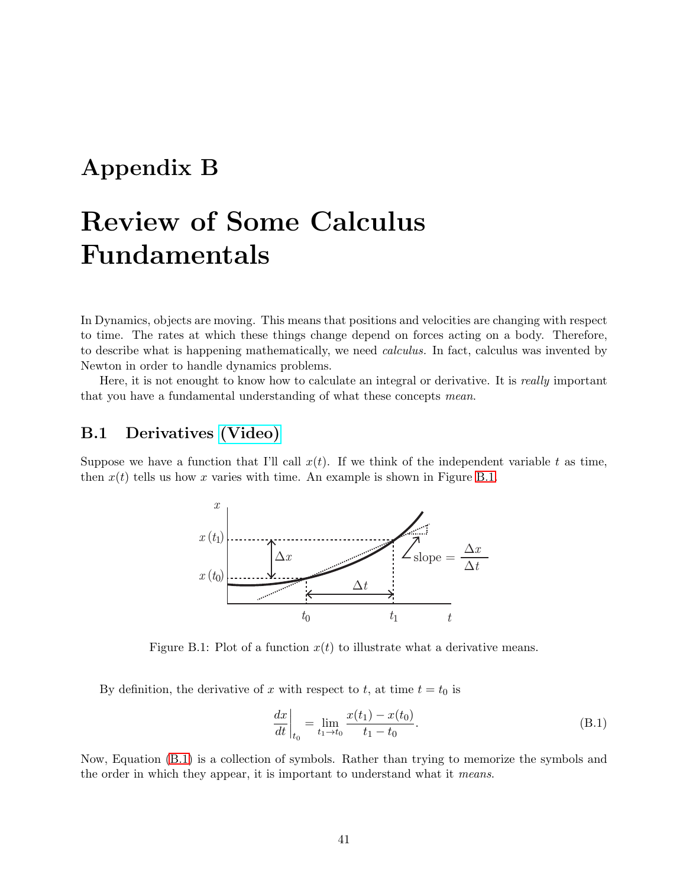## **Appendix B**

# **Review of Some Calculus Fundamentals**

In Dynamics, objects are moving. This means that positions and velocities are changing with respect to time. The rates at which these things change depend on forces acting on a body. Therefore, to describe what is happening mathematically, we need *calculus.* In fact, calculus was invented by Newton in order to handle dynamics problems.

Here, it is not enought to know how to calculate an integral or derivative. It is *really* important that you have a fundamental understanding of what these concepts *mean*.

## <span id="page-0-2"></span>**B.1 Derivatives [\(Video\)](http://www.spumone.org/contentSvr/dynNotes/calculus/derivDefA/derivDefA.html)**

Suppose we have a function that I'll call  $x(t)$ . If we think of the independent variable t as time, then  $x(t)$  tells us how x varies with time. An example is shown in Figure [B.1.](#page-0-0)



<span id="page-0-0"></span>Figure B.1: Plot of a function  $x(t)$  to illustrate what a derivative means.

By definition, the derivative of x with respect to t, at time  $t = t_0$  is

<span id="page-0-1"></span>
$$
\left. \frac{dx}{dt} \right|_{t_0} = \lim_{t_1 \to t_0} \frac{x(t_1) - x(t_0)}{t_1 - t_0}.
$$
\n(B.1)

Now, Equation [\(B.1\)](#page-0-1) is a collection of symbols. Rather than trying to memorize the symbols and the order in which they appear, it is important to understand what it *means*.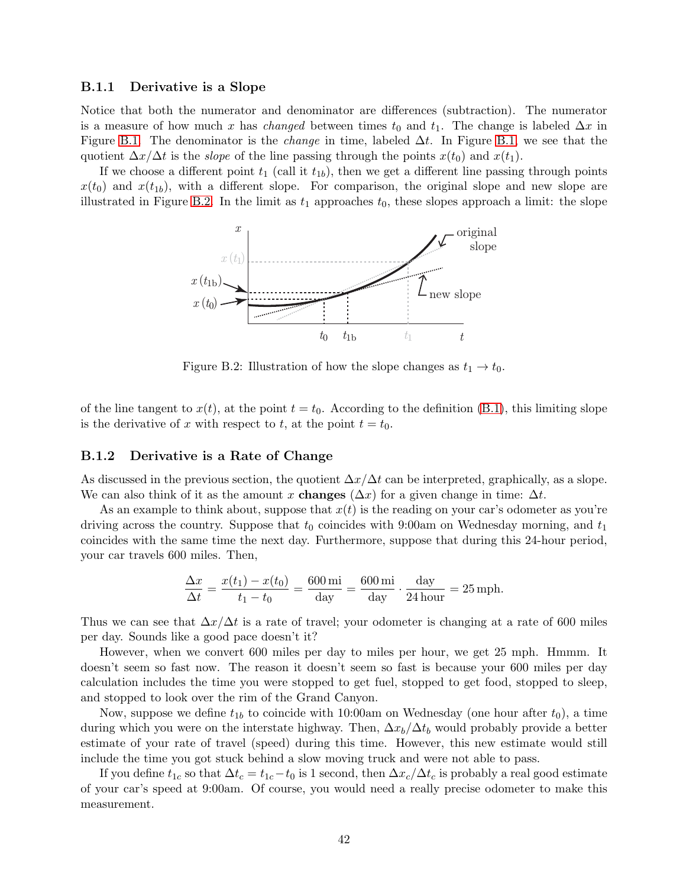#### **B.1.1 Derivative is a Slope**

Notice that both the numerator and denominator are differences (subtraction). The numerator is a measure of how much x has *changed* between times  $t_0$  and  $t_1$ . The change is labeled  $\Delta x$  in Figure [B.1.](#page-0-0) The denominator is the *change* in time, labeled Δt. In Figure [B.1,](#page-0-0) we see that the quotient  $\Delta x/\Delta t$  is the *slope* of the line passing through the points  $x(t_0)$  and  $x(t_1)$ .

If we choose a different point  $t_1$  (call it  $t_{1b}$ ), then we get a different line passing through points  $x(t_0)$  and  $x(t_1)$ , with a different slope. For comparison, the original slope and new slope are illustrated in Figure [B.2.](#page-1-0) In the limit as  $t_1$  approaches  $t_0$ , these slopes approach a limit: the slope



<span id="page-1-0"></span>Figure B.2: Illustration of how the slope changes as  $t_1 \rightarrow t_0$ .

of the line tangent to  $x(t)$ , at the point  $t = t_0$ . According to the definition [\(B.1\)](#page-0-1), this limiting slope is the derivative of x with respect to t, at the point  $t = t_0$ .

## **B.1.2 Derivative is a Rate of Change**

As discussed in the previous section, the quotient  $\Delta x/\Delta t$  can be interpreted, graphically, as a slope. We can also think of it as the amount x **changes**  $(\Delta x)$  for a given change in time:  $\Delta t$ .

As an example to think about, suppose that  $x(t)$  is the reading on your car's odometer as you're driving across the country. Suppose that  $t_0$  coincides with 9:00am on Wednesday morning, and  $t_1$ coincides with the same time the next day. Furthermore, suppose that during this 24-hour period, your car travels 600 miles. Then,

$$
\frac{\Delta x}{\Delta t} = \frac{x(t_1) - x(t_0)}{t_1 - t_0} = \frac{600 \text{ mi}}{\text{day}} = \frac{600 \text{ mi}}{\text{day}} \cdot \frac{\text{day}}{24 \text{ hour}} = 25 \text{ mph.}
$$

Thus we can see that  $\Delta x/\Delta t$  is a rate of travel; your odometer is changing at a rate of 600 miles per day. Sounds like a good pace doesn't it?

However, when we convert 600 miles per day to miles per hour, we get 25 mph. Hmmm. It doesn't seem so fast now. The reason it doesn't seem so fast is because your 600 miles per day calculation includes the time you were stopped to get fuel, stopped to get food, stopped to sleep, and stopped to look over the rim of the Grand Canyon.

Now, suppose we define  $t_{1b}$  to coincide with 10:00am on Wednesday (one hour after  $t_0$ ), a time during which you were on the interstate highway. Then,  $\Delta x_b/\Delta t_b$  would probably provide a better estimate of your rate of travel (speed) during this time. However, this new estimate would still include the time you got stuck behind a slow moving truck and were not able to pass.

If you define  $t_{1c}$  so that  $\Delta t_c = t_{1c} - t_0$  is 1 second, then  $\Delta x_c/\Delta t_c$  is probably a real good estimate of your car's speed at 9:00am. Of course, you would need a really precise odometer to make this measurement.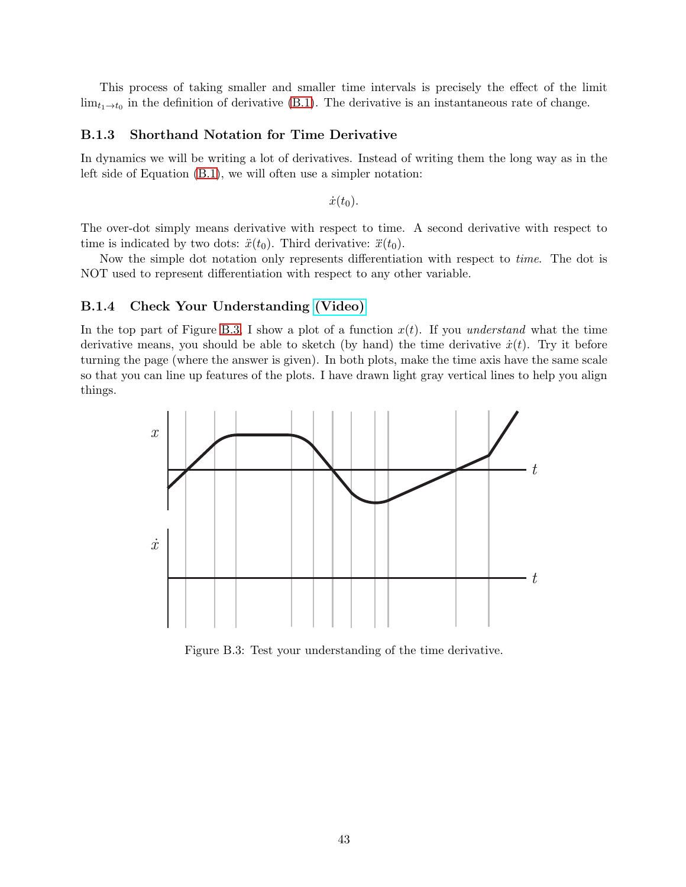This process of taking smaller and smaller time intervals is precisely the effect of the limit  $\lim_{t_1\to t_0}$  in the definition of derivative [\(B.1\)](#page-0-1). The derivative is an instantaneous rate of change.

## **B.1.3 Shorthand Notation for Time Derivative**

In dynamics we will be writing a lot of derivatives. Instead of writing them the long way as in the left side of Equation [\(B.1\)](#page-0-1), we will often use a simpler notation:

 $\dot{x}(t_0)$ .

The over-dot simply means derivative with respect to time. A second derivative with respect to time is indicated by two dots:  $\ddot{x}(t_0)$ . Third derivative:  $\ddot{x}(t_0)$ .

Now the simple dot notation only represents differentiation with respect to *time*. The dot is NOT used to represent differentiation with respect to any other variable.

## <span id="page-2-1"></span>**B.1.4 Check Your Understanding [\(Video\)](http://www.spumone.org/contentSvr/dynNotes/calculus/cyaDeriv/cyaDeriv.html)**

In the top part of Figure [B.3,](#page-2-0) I show a plot of a function  $x(t)$ . If you *understand* what the time derivative means, you should be able to sketch (by hand) the time derivative  $\dot{x}(t)$ . Try it before turning the page (where the answer is given). In both plots, make the time axis have the same scale so that you can line up features of the plots. I have drawn light gray vertical lines to help you align things.



<span id="page-2-0"></span>Figure B.3: Test your understanding of the time derivative.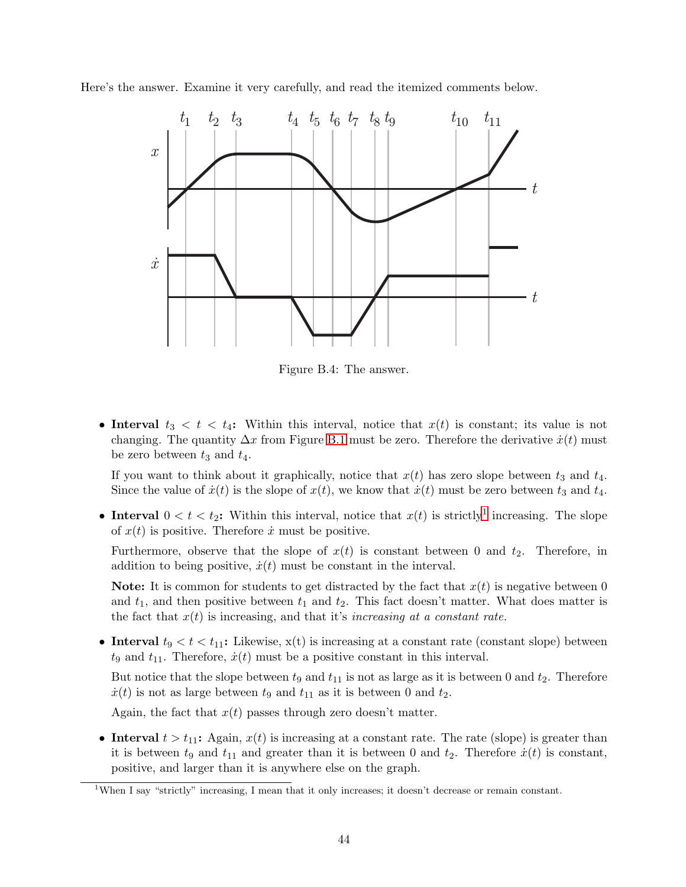Here's the answer. Examine it very carefully, and read the itemized comments below.



Figure B.4: The answer.

• **Interval**  $t_3 < t < t_4$ : Within this interval, notice that  $x(t)$  is constant; its value is not changing. The quantity  $\Delta x$  from Figure [B.1](#page-0-0) must be zero. Therefore the derivative  $\dot{x}(t)$  must be zero between  $t_3$  and  $t_4$ .

If you want to think about it graphically, notice that  $x(t)$  has zero slope between  $t_3$  and  $t_4$ . Since the value of  $\dot{x}(t)$  is the slope of  $x(t)$ , we know that  $\dot{x}(t)$  must be zero between  $t_3$  and  $t_4$ .

• **Interval**  $0 < t < t_2$ : Within this interval, notice that  $x(t)$  is strictly<sup>[1](#page-3-0)</sup> increasing. The slope of  $x(t)$  is positive. Therefore  $\dot{x}$  must be positive.

Furthermore, observe that the slope of  $x(t)$  is constant between 0 and  $t_2$ . Therefore, in addition to being positive,  $\dot{x}(t)$  must be constant in the interval.

**Note:** It is common for students to get distracted by the fact that  $x(t)$  is negative between 0 and  $t_1$ , and then positive between  $t_1$  and  $t_2$ . This fact doesn't matter. What does matter is the fact that  $x(t)$  is increasing, and that it's *increasing at a constant rate*.

• **Interval**  $t_9 < t < t_{11}$ : Likewise,  $x(t)$  is increasing at a constant rate (constant slope) between  $t_9$  and  $t_{11}$ . Therefore,  $\dot{x}(t)$  must be a positive constant in this interval.

But notice that the slope between  $t_9$  and  $t_{11}$  is not as large as it is between 0 and  $t_2$ . Therefore  $\dot{x}(t)$  is not as large between  $t_9$  and  $t_{11}$  as it is between 0 and  $t_2$ .

Again, the fact that  $x(t)$  passes through zero doesn't matter.

• **Interval**  $t > t_{11}$ : Again,  $x(t)$  is increasing at a constant rate. The rate (slope) is greater than it is between  $t_9$  and  $t_{11}$  and greater than it is between 0 and  $t_2$ . Therefore  $\dot{x}(t)$  is constant, positive, and larger than it is anywhere else on the graph.

<span id="page-3-0"></span><sup>1</sup>When I say "strictly" increasing, I mean that it only increases; it doesn't decrease or remain constant.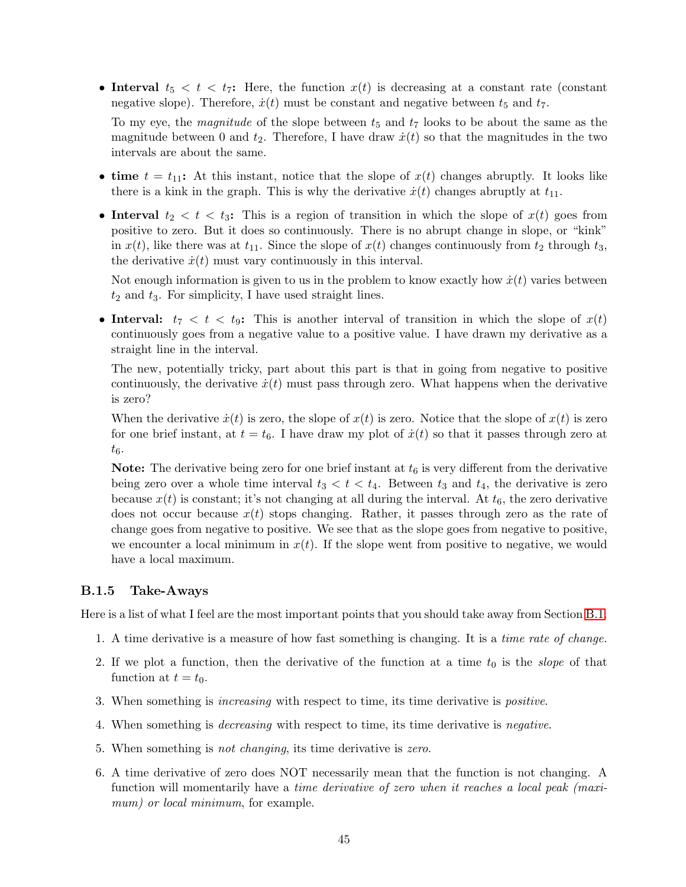• **Interval**  $t_5 < t < t_7$ : Here, the function  $x(t)$  is decreasing at a constant rate (constant negative slope). Therefore,  $\dot{x}(t)$  must be constant and negative between  $t_5$  and  $t_7$ .

To my eye, the *magnitude* of the slope between  $t_5$  and  $t_7$  looks to be about the same as the magnitude between 0 and  $t_2$ . Therefore, I have draw  $\dot{x}(t)$  so that the magnitudes in the two intervals are about the same.

- **time**  $t = t_{11}$ : At this instant, notice that the slope of  $x(t)$  changes abruptly. It looks like there is a kink in the graph. This is why the derivative  $\dot{x}(t)$  changes abruptly at  $t_{11}$ .
- **Interval**  $t_2 < t < t_3$ : This is a region of transition in which the slope of  $x(t)$  goes from positive to zero. But it does so continuously. There is no abrupt change in slope, or "kink" in  $x(t)$ , like there was at  $t_{11}$ . Since the slope of  $x(t)$  changes continuously from  $t_2$  through  $t_3$ , the derivative  $\dot{x}(t)$  must vary continuously in this interval.

Not enough information is given to us in the problem to know exactly how  $\dot{x}(t)$  varies between  $t_2$  and  $t_3$ . For simplicity, I have used straight lines.

• **Interval:**  $t_7 < t < t_9$ : This is another interval of transition in which the slope of  $x(t)$ continuously goes from a negative value to a positive value. I have drawn my derivative as a straight line in the interval.

The new, potentially tricky, part about this part is that in going from negative to positive continuously, the derivative  $\dot{x}(t)$  must pass through zero. What happens when the derivative is zero?

When the derivative  $\dot{x}(t)$  is zero, the slope of  $x(t)$  is zero. Notice that the slope of  $x(t)$  is zero. for one brief instant, at  $t = t_6$ . I have draw my plot of  $\dot{x}(t)$  so that it passes through zero at  $t_6$ .

**Note:** The derivative being zero for one brief instant at  $t<sub>6</sub>$  is very different from the derivative being zero over a whole time interval  $t_3 < t < t_4$ . Between  $t_3$  and  $t_4$ , the derivative is zero because  $x(t)$  is constant; it's not changing at all during the interval. At  $t_6$ , the zero derivative does not occur because  $x(t)$  stops changing. Rather, it passes through zero as the rate of change goes from negative to positive. We see that as the slope goes from negative to positive, we encounter a local minimum in  $x(t)$ . If the slope went from positive to negative, we would have a local maximum.

## **B.1.5 Take-Aways**

Here is a list of what I feel are the most important points that you should take away from Section [B.1.](#page-0-2)

- 1. A time derivative is a measure of how fast something is changing. It is a *time rate of change.*
- 2. If we plot a function, then the derivative of the function at a time  $t_0$  is the *slope* of that function at  $t = t_0$ .
- 3. When something is *increasing* with respect to time, its time derivative is *positive*.
- 4. When something is *decreasing* with respect to time, its time derivative is *negative*.
- 5. When something is *not changing*, its time derivative is *zero*.
- 6. A time derivative of zero does NOT necessarily mean that the function is not changing. A function will momentarily have a *time derivative of zero when it reaches a local peak (maximum) or local minimum*, for example.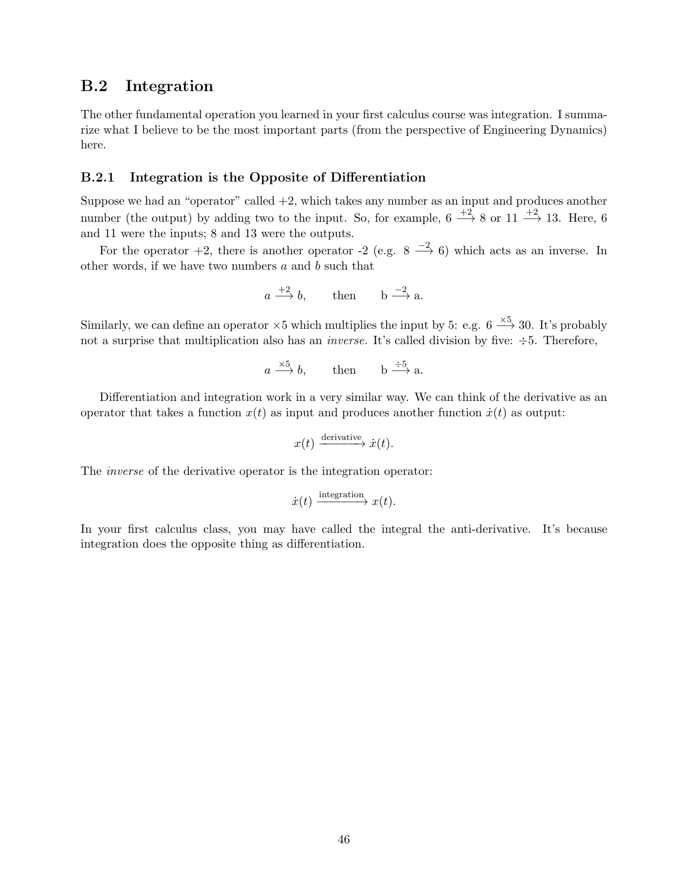## <span id="page-5-0"></span>**B.2 Integration**

The other fundamental operation you learned in your first calculus course was integration. I summarize what I believe to be the most important parts (from the perspective of Engineering Dynamics) here.

## **B.2.1 Integration is the Opposite of Differentiation**

Suppose we had an "operator" called  $+2$ , which takes any number as an input and produces another number (the output) by adding two to the input. So, for example,  $6 \xrightarrow{+2} 8$  or  $11 \xrightarrow{+2} 13$ . Here, 6 and 11 were the inputs; 8 and 13 were the outputs.

For the operator  $+2$ , there is another operator  $-2$  (e.g.  $8 \xrightarrow{-2} 6$ ) which acts as an inverse. In other words, if we have two numbers  $a$  and  $b$  such that

$$
a \xrightarrow{+2} b
$$
, then  $b \xrightarrow{-2} a$ .

Similarly, we can define an operator  $\times 5$  which multiplies the input by 5: e.g.  $6 \stackrel{\times 5}{\longrightarrow} 30$ . It's probably not a surprise that multiplication also has an *inverse*. It's called division by five:  $\div 5$ . Therefore,

$$
a \xrightarrow{\times 5} b
$$
, then  $b \xrightarrow{\div 5} a$ .

Differentiation and integration work in a very similar way. We can think of the derivative as an operator that takes a function  $x(t)$  as input and produces another function  $\dot{x}(t)$  as output:

$$
x(t) \xrightarrow{\text{derivative}} \dot{x}(t).
$$

The *inverse* of the derivative operator is the integration operator:

$$
\dot{x}(t) \xrightarrow{\text{integration}} x(t).
$$

In your first calculus class, you may have called the integral the anti-derivative. It's because integration does the opposite thing as differentiation.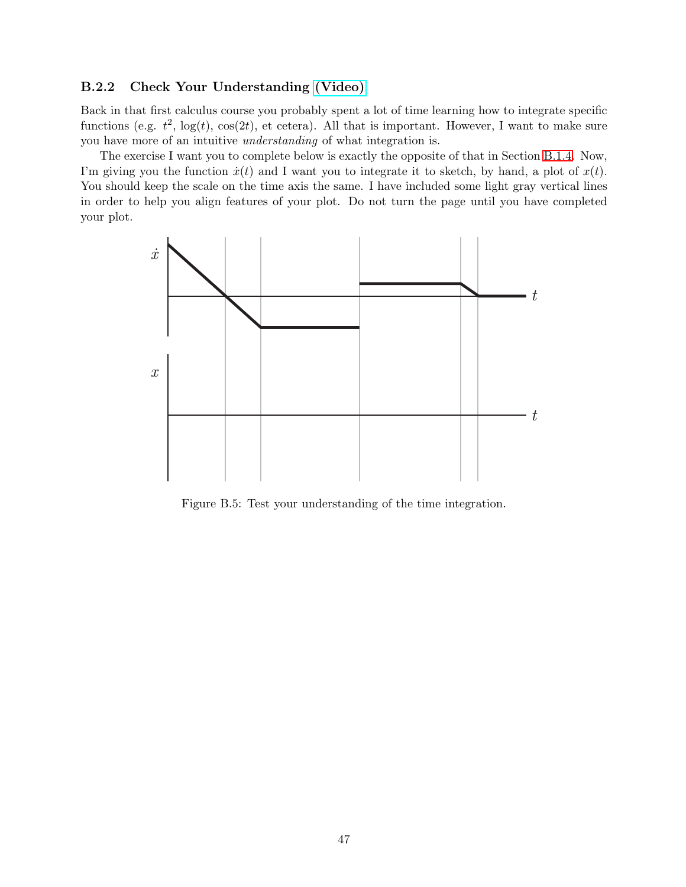## **B.2.2 Check Your Understanding [\(Video\)](http://www.spumone.org/contentSvr/dynNotes/calculus/cyuIntegrate/cyuIntegrate.html)**

Back in that first calculus course you probably spent a lot of time learning how to integrate specific functions (e.g.  $t^2$ ,  $log(t)$ ,  $cos(2t)$ , et cetera). All that is important. However, I want to make sure you have more of an intuitive *understanding* of what integration is.

The exercise I want you to complete below is exactly the opposite of that in Section [B.1.4.](#page-2-1) Now, I'm giving you the function  $\dot{x}(t)$  and I want you to integrate it to sketch, by hand, a plot of  $x(t)$ . You should keep the scale on the time axis the same. I have included some light gray vertical lines in order to help you align features of your plot. Do not turn the page until you have completed your plot.



Figure B.5: Test your understanding of the time integration.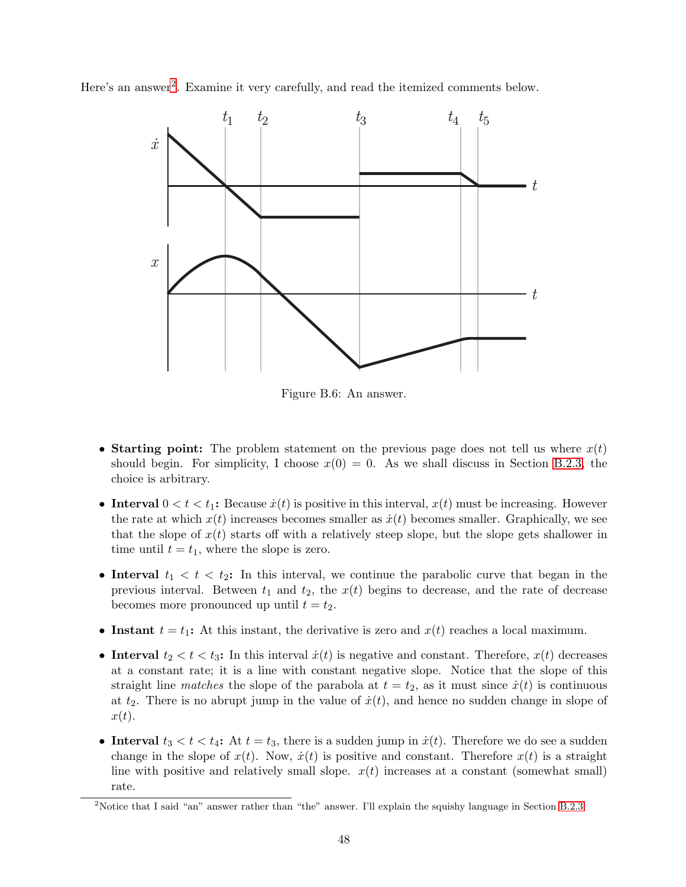Here's an answer<sup>[2](#page-7-0)</sup>. Examine it very carefully, and read the itemized comments below.



<span id="page-7-1"></span>Figure B.6: An answer.

- **Starting point:** The problem statement on the previous page does not tell us where  $x(t)$ should begin. For simplicity, I choose  $x(0) = 0$ . As we shall discuss in Section [B.2.3,](#page-8-0) the choice is arbitrary.
- **Interval**  $0 < t < t_1$ : Because  $\dot{x}(t)$  is positive in this interval,  $x(t)$  must be increasing. However the rate at which  $x(t)$  increases becomes smaller as  $\dot{x}(t)$  becomes smaller. Graphically, we see that the slope of  $x(t)$  starts off with a relatively steep slope, but the slope gets shallower in time until  $t = t_1$ , where the slope is zero.
- **Interval**  $t_1 < t < t_2$ : In this interval, we continue the parabolic curve that began in the previous interval. Between  $t_1$  and  $t_2$ , the  $x(t)$  begins to decrease, and the rate of decrease becomes more pronounced up until  $t = t_2$ .
- **Instant**  $t = t_1$ : At this instant, the derivative is zero and  $x(t)$  reaches a local maximum.
- **Interval**  $t_2 < t < t_3$ : In this interval  $\dot{x}(t)$  is negative and constant. Therefore,  $x(t)$  decreases at a constant rate; it is a line with constant negative slope. Notice that the slope of this straight line *matches* the slope of the parabola at  $t = t_2$ , as it must since  $\dot{x}(t)$  is continuous at  $t_2$ . There is no abrupt jump in the value of  $\dot{x}(t)$ , and hence no sudden change in slope of  $x(t)$ .
- **Interval**  $t_3 < t < t_4$ : At  $t = t_3$ , there is a sudden jump in  $\dot{x}(t)$ . Therefore we do see a sudden change in the slope of  $x(t)$ . Now,  $\dot{x}(t)$  is positive and constant. Therefore  $x(t)$  is a straight line with positive and relatively small slope.  $x(t)$  increases at a constant (somewhat small) rate.

<span id="page-7-0"></span><sup>&</sup>lt;sup>2</sup>Notice that I said "an" answer rather than "the" answer. I'll explain the squishy language in Section [B.2.3.](#page-8-0)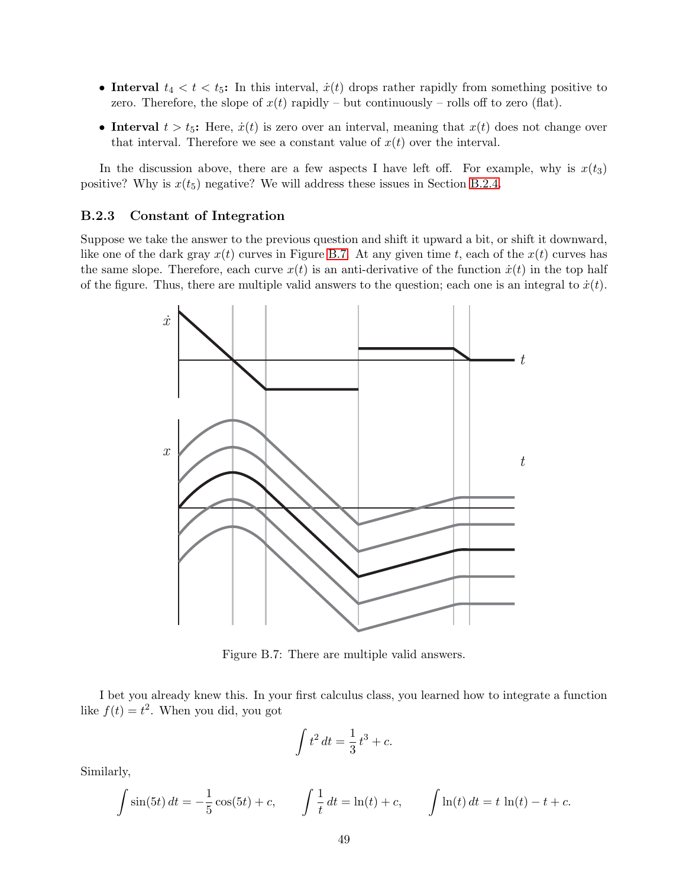- **Interval**  $t_4 < t < t_5$ : In this interval,  $\dot{x}(t)$  drops rather rapidly from something positive to zero. Therefore, the slope of  $x(t)$  rapidly – but continuously – rolls off to zero (flat).
- **Interval**  $t > t<sub>5</sub>$ : Here,  $\dot{x}(t)$  is zero over an interval, meaning that  $x(t)$  does not change over that interval. Therefore we see a constant value of  $x(t)$  over the interval.

In the discussion above, there are a few aspects I have left off. For example, why is  $x(t_3)$ positive? Why is  $x(t_5)$  negative? We will address these issues in Section [B.2.4.](#page-9-0)

## <span id="page-8-0"></span>**B.2.3 Constant of Integration**

Suppose we take the answer to the previous question and shift it upward a bit, or shift it downward, like one of the dark gray  $x(t)$  curves in Figure [B.7.](#page-8-1) At any given time t, each of the  $x(t)$  curves has the same slope. Therefore, each curve  $x(t)$  is an anti-derivative of the function  $\dot{x}(t)$  in the top half of the figure. Thus, there are multiple valid answers to the question; each one is an integral to  $\dot{x}(t)$ .



Figure B.7: There are multiple valid answers.

I bet you already knew this. In your first calculus class, you learned how to integrate a function like  $f(t) = t^2$ . When you did, you got

<span id="page-8-1"></span>
$$
\int t^2 dt = \frac{1}{3}t^3 + c.
$$

Similarly,

$$
\int \sin(5t) dt = -\frac{1}{5}\cos(5t) + c, \qquad \int \frac{1}{t} dt = \ln(t) + c, \qquad \int \ln(t) dt = t \ln(t) - t + c.
$$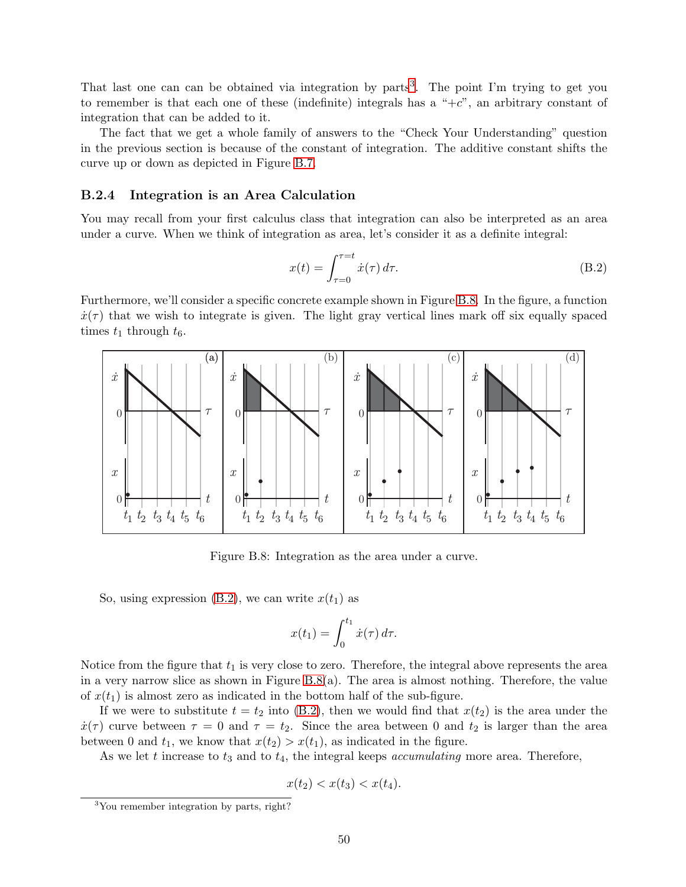That last one can can be obtained via integration by parts<sup>[3](#page-9-1)</sup>. The point I'm trying to get you to remember is that each one of these (indefinite) integrals has a " $+c$ ", an arbitrary constant of integration that can be added to it.

The fact that we get a whole family of answers to the "Check Your Understanding" question in the previous section is because of the constant of integration. The additive constant shifts the curve up or down as depicted in Figure [B.7.](#page-8-1)

### <span id="page-9-0"></span>**B.2.4 Integration is an Area Calculation**

You may recall from your first calculus class that integration can also be interpreted as an area under a curve. When we think of integration as area, let's consider it as a definite integral:

<span id="page-9-3"></span>
$$
x(t) = \int_{\tau=0}^{\tau=t} \dot{x}(\tau) d\tau.
$$
 (B.2)

Furthermore, we'll consider a specific concrete example shown in Figure [B.8.](#page-9-2) In the figure, a function  $\dot{x}(\tau)$  that we wish to integrate is given. The light gray vertical lines mark off six equally spaced times  $t_1$  through  $t_6$ .



Figure B.8: Integration as the area under a curve.

So, using expression [\(B.2\)](#page-9-3), we can write  $x(t_1)$  as

<span id="page-9-2"></span>
$$
x(t_1) = \int_0^{t_1} \dot{x}(\tau) d\tau.
$$

Notice from the figure that  $t_1$  is very close to zero. Therefore, the integral above represents the area in a very narrow slice as shown in Figure [B.8\(](#page-9-2)a). The area is almost nothing. Therefore, the value of  $x(t_1)$  is almost zero as indicated in the bottom half of the sub-figure.

If we were to substitute  $t = t_2$  into [\(B.2\)](#page-9-3), then we would find that  $x(t_2)$  is the area under the  $\dot{x}(\tau)$  curve between  $\tau = 0$  and  $\tau = t_2$ . Since the area between 0 and  $t_2$  is larger than the area between 0 and  $t_1$ , we know that  $x(t_2) > x(t_1)$ , as indicated in the figure.

As we let t increase to  $t_3$  and to  $t_4$ , the integral keeps *accumulating* more area. Therefore,

$$
x(t_2) < x(t_3) < x(t_4).
$$

<span id="page-9-1"></span><sup>3</sup>You remember integration by parts, right?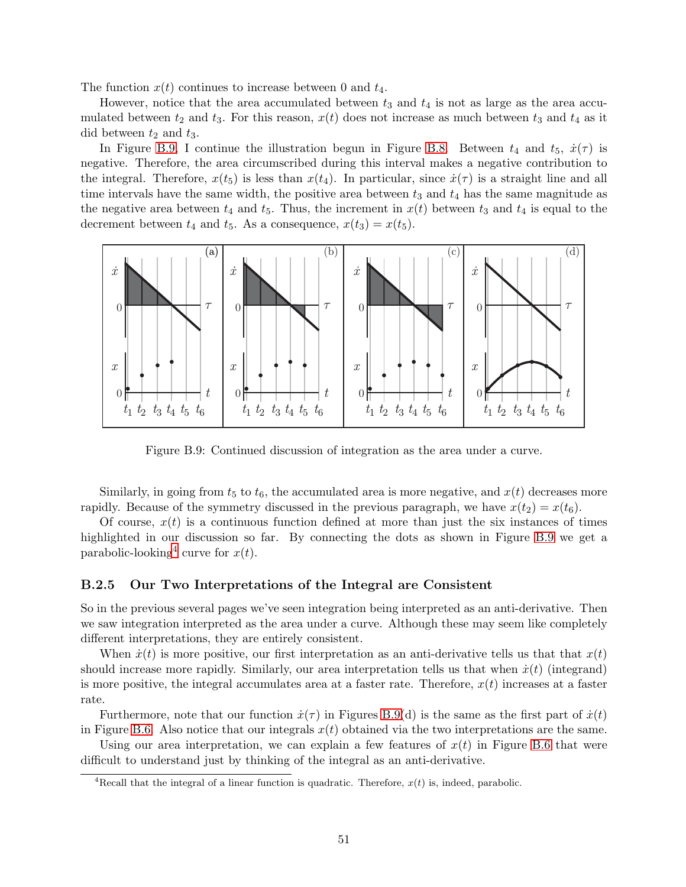The function  $x(t)$  continues to increase between 0 and  $t_4$ .

However, notice that the area accumulated between  $t_3$  and  $t_4$  is not as large as the area accumulated between  $t_2$  and  $t_3$ . For this reason,  $x(t)$  does not increase as much between  $t_3$  and  $t_4$  as it did between  $t_2$  and  $t_3$ .

In Figure [B.9,](#page-10-0) I continue the illustration begun in Figure [B.8.](#page-9-2) Between  $t_4$  and  $t_5$ ,  $\dot{x}(\tau)$  is negative. Therefore, the area circumscribed during this interval makes a negative contribution to the integral. Therefore,  $x(t_5)$  is less than  $x(t_4)$ . In particular, since  $\dot{x}(\tau)$  is a straight line and all time intervals have the same width, the positive area between  $t_3$  and  $t_4$  has the same magnitude as the negative area between  $t_4$  and  $t_5$ . Thus, the increment in  $x(t)$  between  $t_3$  and  $t_4$  is equal to the decrement between  $t_4$  and  $t_5$ . As a consequence,  $x(t_3) = x(t_5)$ .



<span id="page-10-0"></span>Figure B.9: Continued discussion of integration as the area under a curve.

Similarly, in going from  $t_5$  to  $t_6$ , the accumulated area is more negative, and  $x(t)$  decreases more rapidly. Because of the symmetry discussed in the previous paragraph, we have  $x(t_2) = x(t_6)$ .

Of course,  $x(t)$  is a continuous function defined at more than just the six instances of times highlighted in our discussion so far. By connecting the dots as shown in Figure [B.9](#page-10-0) we get a parabolic-looking<sup>[4](#page-10-1)</sup> curve for  $x(t)$ .

## **B.2.5 Our Two Interpretations of the Integral are Consistent**

So in the previous several pages we've seen integration being interpreted as an anti-derivative. Then we saw integration interpreted as the area under a curve. Although these may seem like completely different interpretations, they are entirely consistent.

When  $\dot{x}(t)$  is more positive, our first interpretation as an anti-derivative tells us that that  $x(t)$ should increase more rapidly. Similarly, our area interpretation tells us that when  $\dot{x}(t)$  (integrand) is more positive, the integral accumulates area at a faster rate. Therefore,  $x(t)$  increases at a faster rate.

Furthermore, note that our function  $\dot{x}(\tau)$  in Figures [B.9\(](#page-10-0)d) is the same as the first part of  $\dot{x}(t)$ in Figure [B.6.](#page-7-1) Also notice that our integrals  $x(t)$  obtained via the two interpretations are the same.

Using our area interpretation, we can explain a few features of  $x(t)$  in Figure [B.6](#page-7-1) that were difficult to understand just by thinking of the integral as an anti-derivative.

<span id="page-10-1"></span><sup>&</sup>lt;sup>4</sup>Recall that the integral of a linear function is quadratic. Therefore,  $x(t)$  is, indeed, parabolic.